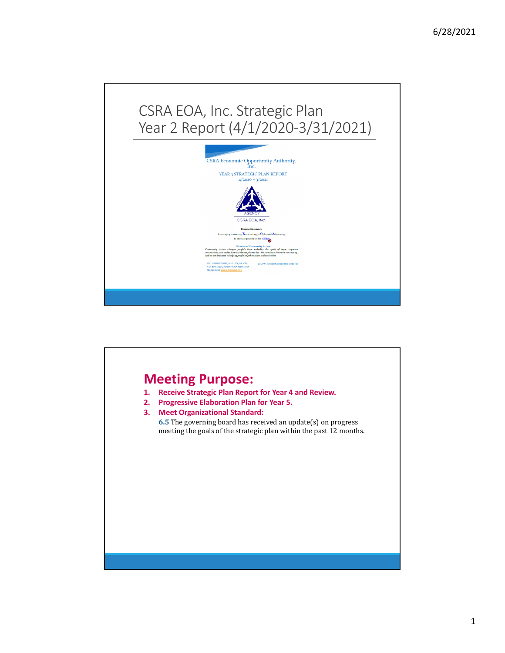

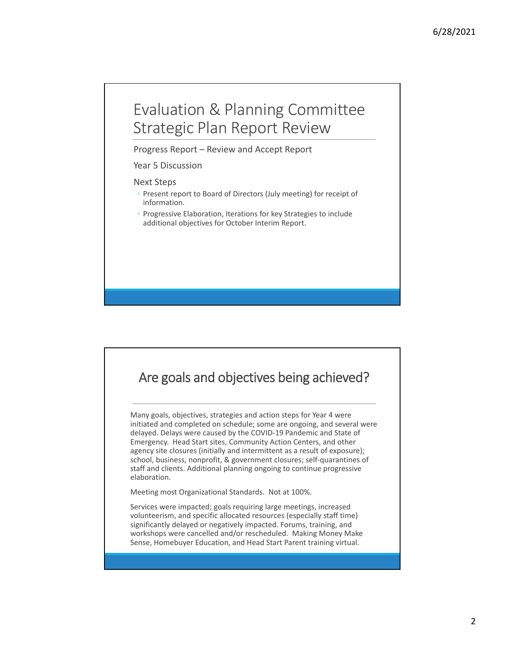## Evaluation & Planning Committee Strategic Plan Report Review

Progress Report – Review and Accept Report

#### Year 5 Discussion

#### Next Steps

- Present report to Board of Directors (July meeting) for receipt of information.
- Progressive Elaboration, Iterations for key Strategies to include additional objectives for October Interim Report.

### Are goals and objectives being achieved?

Many goals, objectives, strategies and action steps for Year 4 were initiated and completed on schedule; some are ongoing, and several were delayed. Delays were caused by the COVID‐19 Pandemic and State of Emergency. Head Start sites, Community Action Centers, and other agency site closures (initially and intermittent as a result of exposure); school, business, nonprofit, & government closures; self‐quarantines of staff and clients. Additional planning ongoing to continue progressive elaboration.

Meeting most Organizational Standards. Not at 100%.

Services were impacted; goals requiring large meetings, increased volunteerism, and specific allocated resources (especially staff time) significantly delayed or negatively impacted. Forums, training, and workshops were cancelled and/or rescheduled. Making Money Make Sense, Homebuyer Education, and Head Start Parent training virtual.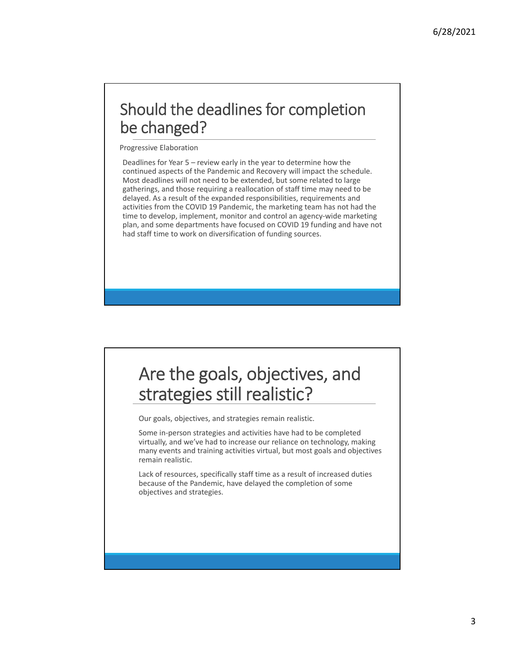## Should the deadlines for completion be changed?

Progressive Elaboration

Deadlines for Year 5 – review early in the year to determine how the continued aspects of the Pandemic and Recovery will impact the schedule. Most deadlines will not need to be extended, but some related to large gatherings, and those requiring a reallocation of staff time may need to be delayed. As a result of the expanded responsibilities, requirements and activities from the COVID 19 Pandemic, the marketing team has not had the time to develop, implement, monitor and control an agency-wide marketing plan, and some departments have focused on COVID 19 funding and have not had staff time to work on diversification of funding sources.

# Are the goals, objectives, and strategies still realistic?

Our goals, objectives, and strategies remain realistic.

Some in‐person strategies and activities have had to be completed virtually, and we've had to increase our reliance on technology, making many events and training activities virtual, but most goals and objectives remain realistic.

Lack of resources, specifically staff time as a result of increased duties because of the Pandemic, have delayed the completion of some objectives and strategies.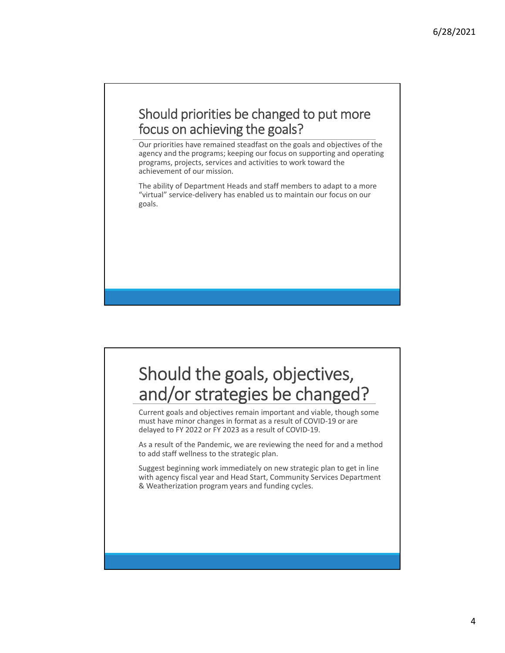### Should priorities be changed to put more focus on achieving the goals?

Our priorities have remained steadfast on the goals and objectives of the agency and the programs; keeping our focus on supporting and operating programs, projects, services and activities to work toward the achievement of our mission.

The ability of Department Heads and staff members to adapt to a more "virtual" service‐delivery has enabled us to maintain our focus on our goals.

# Should the goals, objectives, and/or strategies be changed?

Current goals and objectives remain important and viable, though some must have minor changes in format as a result of COVID‐19 or are delayed to FY 2022 or FY 2023 as a result of COVID‐19.

As a result of the Pandemic, we are reviewing the need for and a method to add staff wellness to the strategic plan.

Suggest beginning work immediately on new strategic plan to get in line with agency fiscal year and Head Start, Community Services Department & Weatherization program years and funding cycles.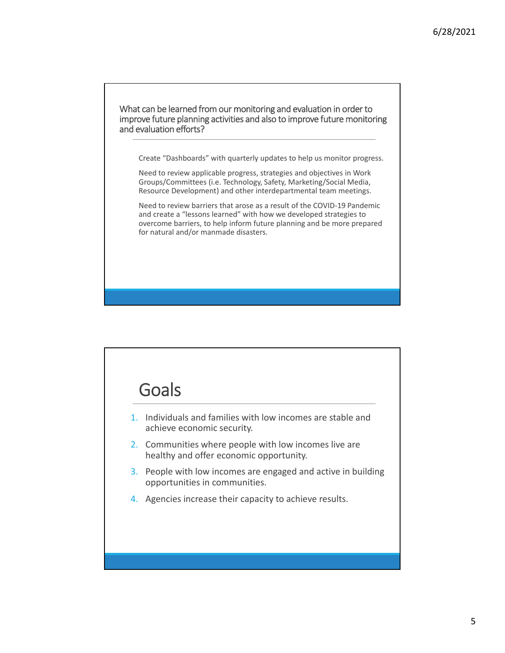### What can be learned from our monitoring and evaluation in order to improve future planning activities and also to improve future monitoring and evaluation efforts?

Create "Dashboards" with quarterly updates to help us monitor progress.

Need to review applicable progress, strategies and objectives in Work Groups/Committees (i.e. Technology, Safety, Marketing/Social Media, Resource Development) and other interdepartmental team meetings.

Need to review barriers that arose as a result of the COVID‐19 Pandemic and create a "lessons learned" with how we developed strategies to overcome barriers, to help inform future planning and be more prepared for natural and/or manmade disasters.

# **Goals**

- 1. Individuals and families with low incomes are stable and achieve economic security.
- 2. Communities where people with low incomes live are healthy and offer economic opportunity.
- 3. People with low incomes are engaged and active in building opportunities in communities.
- 4. Agencies increase their capacity to achieve results.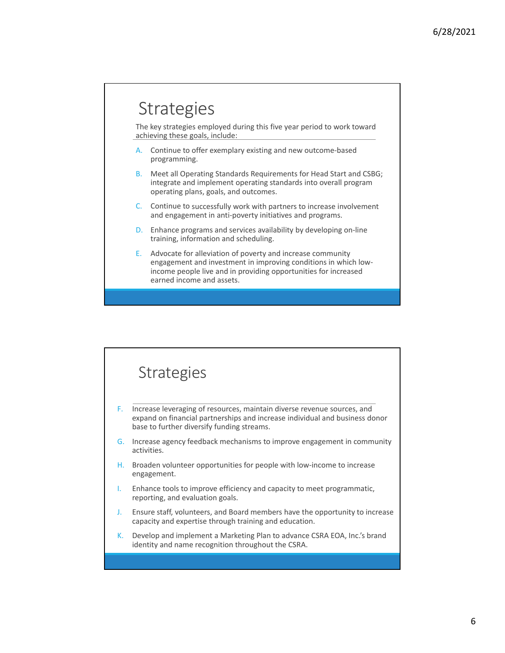# **Strategies**

The key strategies employed during this five year period to work toward achieving these goals, include:

- A. Continue to offer exemplary existing and new outcome‐based programming.
- B. Meet all Operating Standards Requirements for Head Start and CSBG; integrate and implement operating standards into overall program operating plans, goals, and outcomes.
- C. Continue to successfully work with partners to increase involvement and engagement in anti‐poverty initiatives and programs.
- D. Enhance programs and services availability by developing on-line training, information and scheduling.
- E. Advocate for alleviation of poverty and increase community engagement and investment in improving conditions in which low‐ income people live and in providing opportunities for increased earned income and assets.